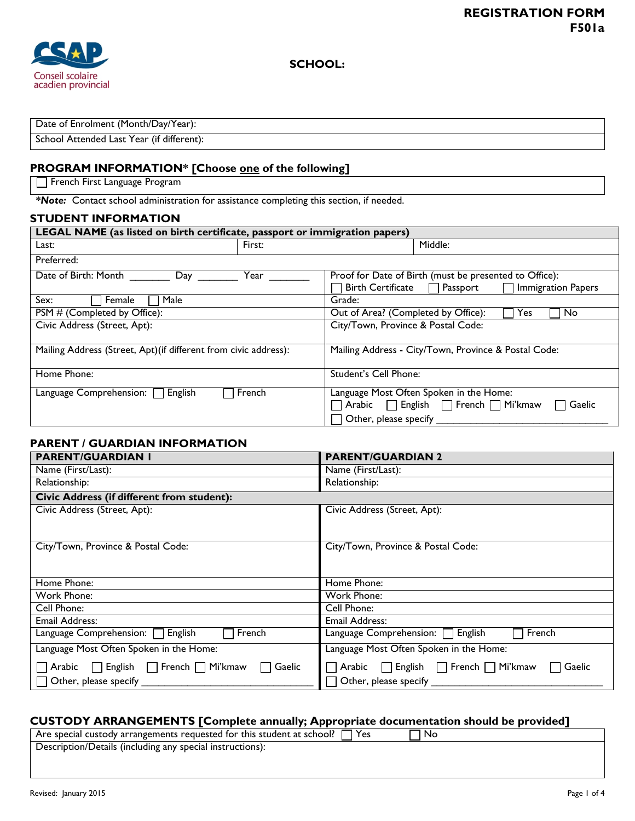

Date of Enrolment (Month/Day/Year):

School Attended Last Year (if different):

### **PROGRAM INFORMATION\* [Choose one of the following]**

French First Language Program

*\*Note:* Contact school administration for assistance completing this section, if needed.

#### **STUDENT INFORMATION**

| LEGAL NAME (as listed on birth certificate, passport or immigration papers) |        |                                                                     |
|-----------------------------------------------------------------------------|--------|---------------------------------------------------------------------|
| Last:                                                                       | First: | Middle:                                                             |
| Preferred:                                                                  |        |                                                                     |
| Date of Birth: Month<br>Day                                                 | Year   | Proof for Date of Birth (must be presented to Office):              |
|                                                                             |        | <b>Birth Certificate</b><br>Passport<br>Immigration Papers          |
| Sex:<br>Male<br>Female                                                      |        | Grade:                                                              |
| PSM # (Completed by Office):                                                |        | Out of Area? (Completed by Office):<br><b>Yes</b><br>No.            |
| Civic Address (Street, Apt):                                                |        | City/Town, Province & Postal Code:                                  |
| Mailing Address (Street, Apt) (if different from civic address):            |        | Mailing Address - City/Town, Province & Postal Code:                |
| Home Phone:                                                                 |        | Student's Cell Phone:                                               |
| Language Comprehension: $\Box$<br>English                                   | French | Language Most Often Spoken in the Home:                             |
|                                                                             |        | $\Box$ Arabic $\Box$ English $\Box$ French $\Box$ Mi'kmaw<br>Gaelic |
|                                                                             |        | Other, please specify                                               |

#### **PARENT / GUARDIAN INFORMATION**

| <b>PARENT/GUARDIAN I</b>                                                                            | <b>PARENT/GUARDIAN 2</b>                                                  |
|-----------------------------------------------------------------------------------------------------|---------------------------------------------------------------------------|
| Name (First/Last):                                                                                  | Name (First/Last):                                                        |
| Relationship:                                                                                       | Relationship:                                                             |
| Civic Address (if different from student):                                                          |                                                                           |
| Civic Address (Street, Apt):                                                                        | Civic Address (Street, Apt):                                              |
| City/Town, Province & Postal Code:                                                                  | City/Town, Province & Postal Code:                                        |
| Home Phone:                                                                                         | Home Phone:                                                               |
| Work Phone:                                                                                         | Work Phone:                                                               |
| Cell Phone:                                                                                         | Cell Phone:                                                               |
| Email Address:                                                                                      | Email Address:                                                            |
| <b>English</b><br>Language Comprehension:<br>French                                                 | English<br>French<br>Language Comprehension: $\Box$                       |
| Language Most Often Spoken in the Home:                                                             | Language Most Often Spoken in the Home:                                   |
| $\Box$ Arabic $\Box$ English $\Box$ French $\Box$ Mi'kmaw<br>Gaelic<br>$\Box$ Other, please specify | ∩ Arabic ∧ Finglish ∧ French ∧ Mi'kmaw<br>Gaelic<br>Other, please specify |

#### **CUSTODY ARRANGEMENTS [Complete annually; Appropriate documentation should be provided]**

Are special custody arrangements requested for this student at school?  $\Box$  Yes  $\Box$  No Description/Details (including any special instructions):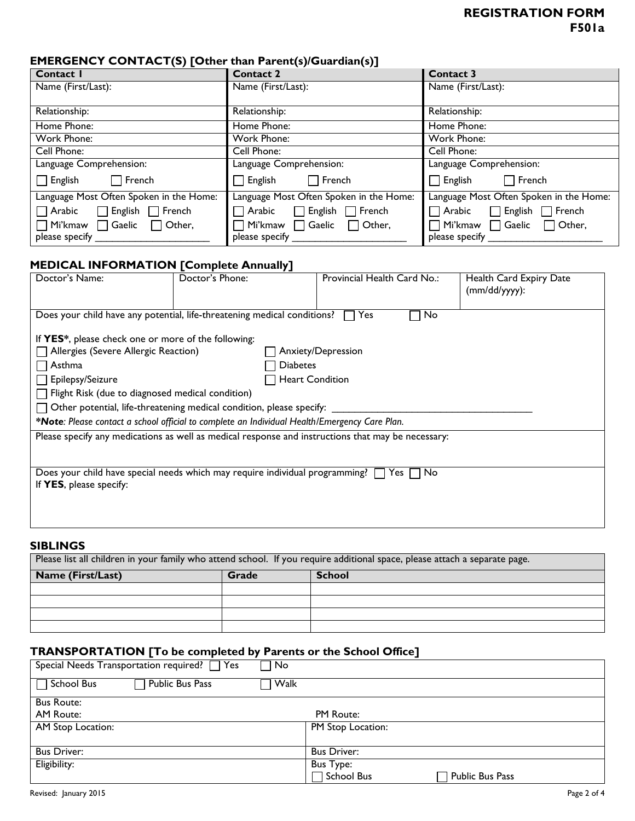# **REGISTRATION FORM F501a**

# **EMERGENCY CONTACT(S) [Other than Parent(s)/Guardian(s)]**

| $\cdot$ $\cdot$ $\cdot$ $\cdot$<br>Contact I  | <b>Contact 2</b>                              | <b>Contact 3</b>                                         |
|-----------------------------------------------|-----------------------------------------------|----------------------------------------------------------|
| Name (First/Last):                            | Name (First/Last):                            | Name (First/Last):                                       |
|                                               |                                               |                                                          |
| Relationship:                                 | Relationship:                                 | Relationship:                                            |
| Home Phone:                                   | Home Phone:                                   | Home Phone:                                              |
| Work Phone:                                   | Work Phone:                                   | Work Phone:                                              |
| Cell Phone:                                   | Cell Phone:                                   | Cell Phone:                                              |
| Language Comprehension:                       | Language Comprehension:                       | Language Comprehension:                                  |
| $\Box$ English<br>$\Box$ French               | $\sqcap$ French<br>$\Box$ English             | $\Box$ French<br>$\Box$ English                          |
| Language Most Often Spoken in the Home:       | Language Most Often Spoken in the Home:       | Language Most Often Spoken in the Home:                  |
| $\Box$ English $\Box$ French<br>$\Box$ Arabic | $\Box$ English $\Box$ French<br>$\Box$ Arabic | $\Box$ Arabic<br>$\Box$ English $\Box$ French            |
| $\Box$ Mi'kmaw $\Box$ Gaelic<br>□ Other,      | Mi'kmaw ∏ Gaelic<br>$\Box$ Other,             | $\mid$ Mi'kmaw $\quad \bigsqcup$ Gaelic<br>$\Box$ Other, |
| please specify                                | please specify                                | please specify                                           |

# **MEDICAL INFORMATION [Complete Annually]**

| Doctor's Name:                                                                                                       | , ,<br>Doctor's Phone:                                                   | Provincial Health Card No.: | Health Card Expiry Date<br>$(mm/dd/yyyy)$ : |
|----------------------------------------------------------------------------------------------------------------------|--------------------------------------------------------------------------|-----------------------------|---------------------------------------------|
|                                                                                                                      | Does your child have any potential, life-threatening medical conditions? | No<br>Yes                   |                                             |
| If YES*, please check one or more of the following:                                                                  |                                                                          |                             |                                             |
| $\Box$ Allergies (Severe Allergic Reaction)<br>Anxiety/Depression                                                    |                                                                          |                             |                                             |
| Asthma                                                                                                               | <b>Diabetes</b>                                                          |                             |                                             |
| $\Box$ Epilepsy/Seizure                                                                                              |                                                                          | Heart Condition             |                                             |
| $\Box$ Flight Risk (due to diagnosed medical condition)                                                              |                                                                          |                             |                                             |
| $\Box$ Other potential, life-threatening medical condition, please specify:                                          |                                                                          |                             |                                             |
| *Note: Please contact a school official to complete an Individual Health/Emergency Care Plan.                        |                                                                          |                             |                                             |
| Please specify any medications as well as medical response and instructions that may be necessary:                   |                                                                          |                             |                                             |
|                                                                                                                      |                                                                          |                             |                                             |
|                                                                                                                      |                                                                          |                             |                                             |
| Does your child have special needs which may require individual programming?<br>No<br>Yes<br>If YES, please specify: |                                                                          |                             |                                             |
|                                                                                                                      |                                                                          |                             |                                             |
|                                                                                                                      |                                                                          |                             |                                             |
|                                                                                                                      |                                                                          |                             |                                             |

#### **SIBLINGS**

| Please list all children in your family who attend school. If you require additional space, please attach a separate page. |       |               |
|----------------------------------------------------------------------------------------------------------------------------|-------|---------------|
| <b>Name (First/Last)</b>                                                                                                   | Grade | <b>School</b> |
|                                                                                                                            |       |               |
|                                                                                                                            |       |               |
|                                                                                                                            |       |               |
|                                                                                                                            |       |               |

# **TRANSPORTATION [To be completed by Parents or the School Office]**

| Special Needs Transportation required? $\Box$ Yes | No                                        |
|---------------------------------------------------|-------------------------------------------|
| $\Box$ School Bus<br>Public Bus Pass              | Walk                                      |
| <b>Bus Route:</b>                                 |                                           |
| AM Route:                                         | PM Route:                                 |
| AM Stop Location:                                 | PM Stop Location:                         |
|                                                   |                                           |
| <b>Bus Driver:</b>                                | <b>Bus Driver:</b>                        |
| Eligibility:                                      | <b>Bus Type:</b>                          |
|                                                   | $\sqsupset$ School Bus<br>Public Bus Pass |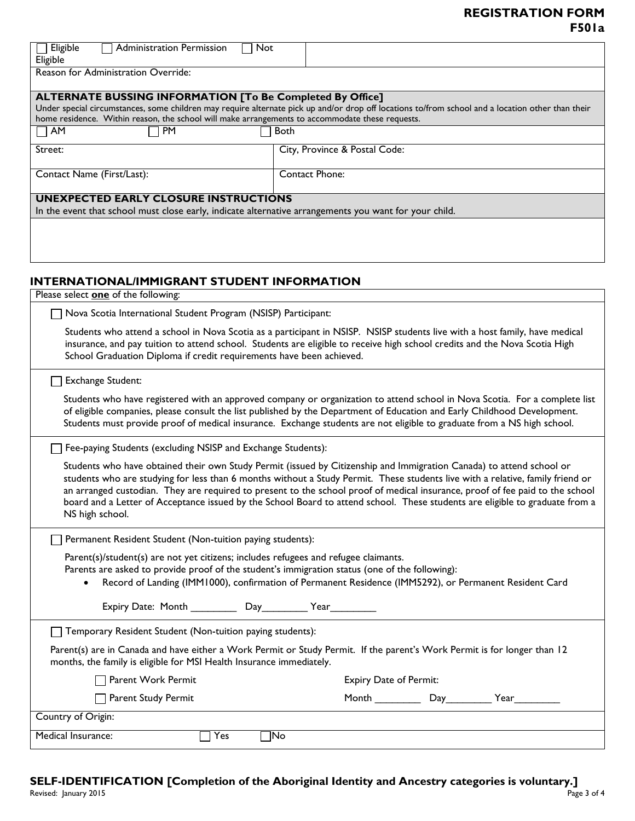# **REGISTRATION FORM F501a**

| Eligible<br>Administration Permission<br>Not<br>Eligible                                                                                                                                                                                                                                                                                                                                                                                                                                                                                   |                                                                                                                                                   |  |  |
|--------------------------------------------------------------------------------------------------------------------------------------------------------------------------------------------------------------------------------------------------------------------------------------------------------------------------------------------------------------------------------------------------------------------------------------------------------------------------------------------------------------------------------------------|---------------------------------------------------------------------------------------------------------------------------------------------------|--|--|
| Reason for Administration Override:                                                                                                                                                                                                                                                                                                                                                                                                                                                                                                        |                                                                                                                                                   |  |  |
| <b>ALTERNATE BUSSING INFORMATION [To Be Completed By Office]</b><br>home residence. Within reason, the school will make arrangements to accommodate these requests.                                                                                                                                                                                                                                                                                                                                                                        | Under special circumstances, some children may require alternate pick up and/or drop off locations to/from school and a location other than their |  |  |
| PM<br>AM                                                                                                                                                                                                                                                                                                                                                                                                                                                                                                                                   | <b>Both</b>                                                                                                                                       |  |  |
| Street:                                                                                                                                                                                                                                                                                                                                                                                                                                                                                                                                    | City, Province & Postal Code:                                                                                                                     |  |  |
|                                                                                                                                                                                                                                                                                                                                                                                                                                                                                                                                            |                                                                                                                                                   |  |  |
| Contact Name (First/Last):                                                                                                                                                                                                                                                                                                                                                                                                                                                                                                                 | <b>Contact Phone:</b>                                                                                                                             |  |  |
| <b>UNEXPECTED EARLY CLOSURE INSTRUCTIONS</b>                                                                                                                                                                                                                                                                                                                                                                                                                                                                                               |                                                                                                                                                   |  |  |
| In the event that school must close early, indicate alternative arrangements you want for your child.                                                                                                                                                                                                                                                                                                                                                                                                                                      |                                                                                                                                                   |  |  |
|                                                                                                                                                                                                                                                                                                                                                                                                                                                                                                                                            |                                                                                                                                                   |  |  |
| INTERNATIONAL/IMMIGRANT STUDENT INFORMATION                                                                                                                                                                                                                                                                                                                                                                                                                                                                                                |                                                                                                                                                   |  |  |
| Please select one of the following:                                                                                                                                                                                                                                                                                                                                                                                                                                                                                                        |                                                                                                                                                   |  |  |
| Nova Scotia International Student Program (NSISP) Participant:                                                                                                                                                                                                                                                                                                                                                                                                                                                                             |                                                                                                                                                   |  |  |
| Students who attend a school in Nova Scotia as a participant in NSISP. NSISP students live with a host family, have medical<br>insurance, and pay tuition to attend school. Students are eligible to receive high school credits and the Nova Scotia High<br>School Graduation Diploma if credit requirements have been achieved.                                                                                                                                                                                                          |                                                                                                                                                   |  |  |
| Exchange Student:                                                                                                                                                                                                                                                                                                                                                                                                                                                                                                                          |                                                                                                                                                   |  |  |
| Students who have registered with an approved company or organization to attend school in Nova Scotia. For a complete list<br>of eligible companies, please consult the list published by the Department of Education and Early Childhood Development.<br>Students must provide proof of medical insurance. Exchange students are not eligible to graduate from a NS high school.                                                                                                                                                          |                                                                                                                                                   |  |  |
| Fee-paying Students (excluding NSISP and Exchange Students):                                                                                                                                                                                                                                                                                                                                                                                                                                                                               |                                                                                                                                                   |  |  |
| Students who have obtained their own Study Permit (issued by Citizenship and Immigration Canada) to attend school or<br>students who are studying for less than 6 months without a Study Permit. These students live with a relative, family friend or<br>an arranged custodian. They are required to present to the school proof of medical insurance, proof of fee paid to the school<br>board and a Letter of Acceptance issued by the School Board to attend school. These students are eligible to graduate from a<br>NS high school. |                                                                                                                                                   |  |  |
| Permanent Resident Student (Non-tuition paying students):                                                                                                                                                                                                                                                                                                                                                                                                                                                                                  |                                                                                                                                                   |  |  |
| Parent(s)/student(s) are not yet citizens; includes refugees and refugee claimants.<br>Parents are asked to provide proof of the student's immigration status (one of the following):<br>Record of Landing (IMM1000), confirmation of Permanent Residence (IMM5292), or Permanent Resident Card                                                                                                                                                                                                                                            |                                                                                                                                                   |  |  |
| Expiry Date: Month _____________ Day___________ Year___________                                                                                                                                                                                                                                                                                                                                                                                                                                                                            |                                                                                                                                                   |  |  |
| Temporary Resident Student (Non-tuition paying students):                                                                                                                                                                                                                                                                                                                                                                                                                                                                                  |                                                                                                                                                   |  |  |
| Parent(s) are in Canada and have either a Work Permit or Study Permit. If the parent's Work Permit is for longer than 12<br>months, the family is eligible for MSI Health Insurance immediately.                                                                                                                                                                                                                                                                                                                                           |                                                                                                                                                   |  |  |
| Parent Work Permit                                                                                                                                                                                                                                                                                                                                                                                                                                                                                                                         | Expiry Date of Permit:                                                                                                                            |  |  |
| Parent Study Permit                                                                                                                                                                                                                                                                                                                                                                                                                                                                                                                        | Month _____________ Day____________ Year___________                                                                                               |  |  |
| Country of Origin:                                                                                                                                                                                                                                                                                                                                                                                                                                                                                                                         |                                                                                                                                                   |  |  |
| Medical Insurance:<br>Yes                                                                                                                                                                                                                                                                                                                                                                                                                                                                                                                  | $\neg$ No                                                                                                                                         |  |  |

Revised: January 2015Page 3 of 4 **SELF-IDENTIFICATION [Completion of the Aboriginal Identity and Ancestry categories is voluntary.]**